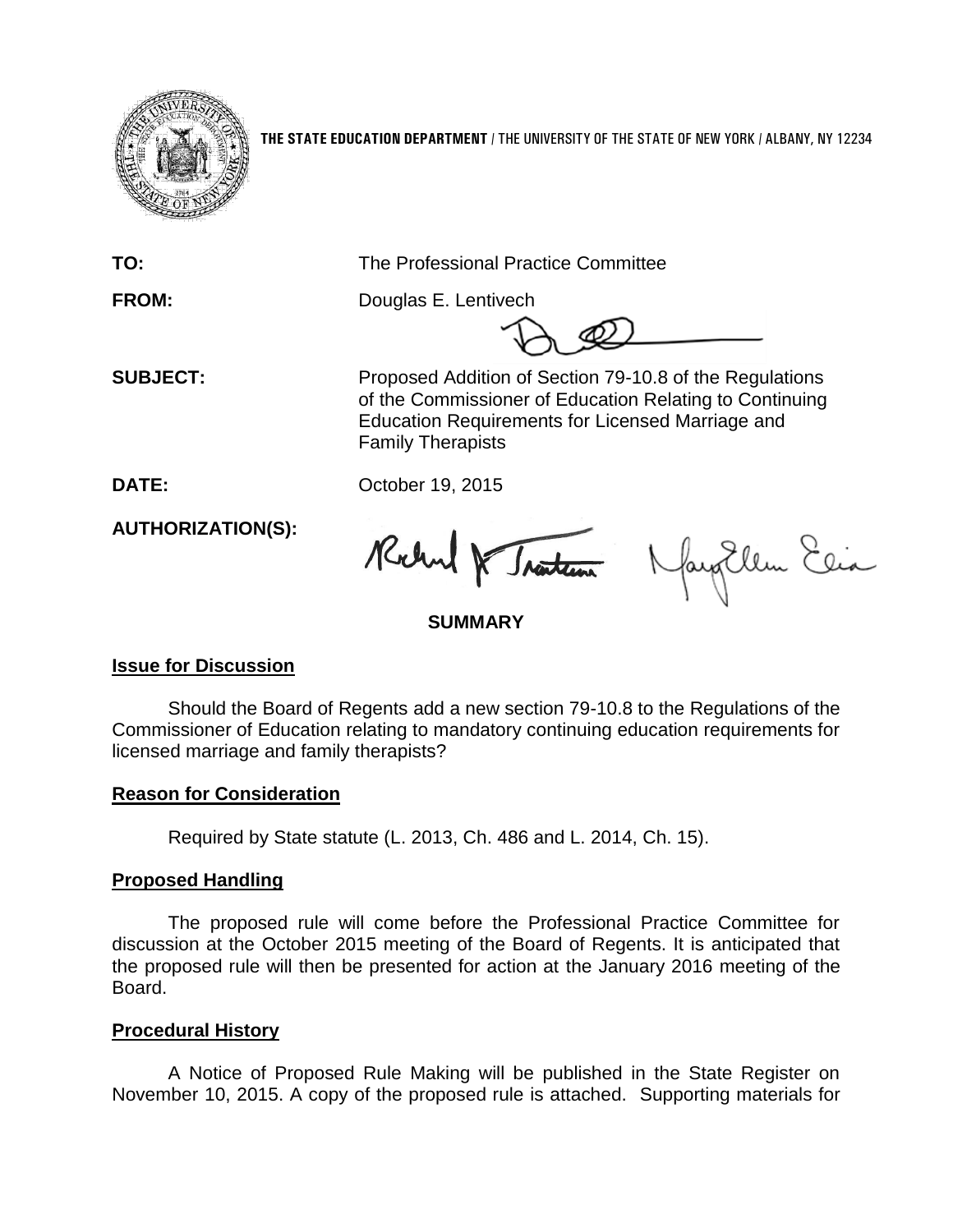

**THE STATE EDUCATION DEPARTMENT** / THE UNIVERSITY OF THE STATE OF NEW YORK / ALBANY, NY 12234

**TO:** The Professional Practice Committee

**FROM:** Douglas E. Lentivech

 **SUBJECT:** Proposed Addition of Section 79-10.8 of the Regulations of the Commissioner of Education Relating to Continuing Education Requirements for Licensed Marriage and Family Therapists

**DATE:** October 19, 2015

**AUTHORIZATION(S):**

Rochard & Traiten

fay Ellen Elia

**SUMMARY**

## **Issue for Discussion**

Should the Board of Regents add a new section 79-10.8 to the Regulations of the Commissioner of Education relating to mandatory continuing education requirements for licensed marriage and family therapists?

# **Reason for Consideration**

Required by State statute (L. 2013, Ch. 486 and L. 2014, Ch. 15).

# **Proposed Handling**

The proposed rule will come before the Professional Practice Committee for discussion at the October 2015 meeting of the Board of Regents. It is anticipated that the proposed rule will then be presented for action at the January 2016 meeting of the Board.

## **Procedural History**

A Notice of Proposed Rule Making will be published in the State Register on November 10, 2015. A copy of the proposed rule is attached. Supporting materials for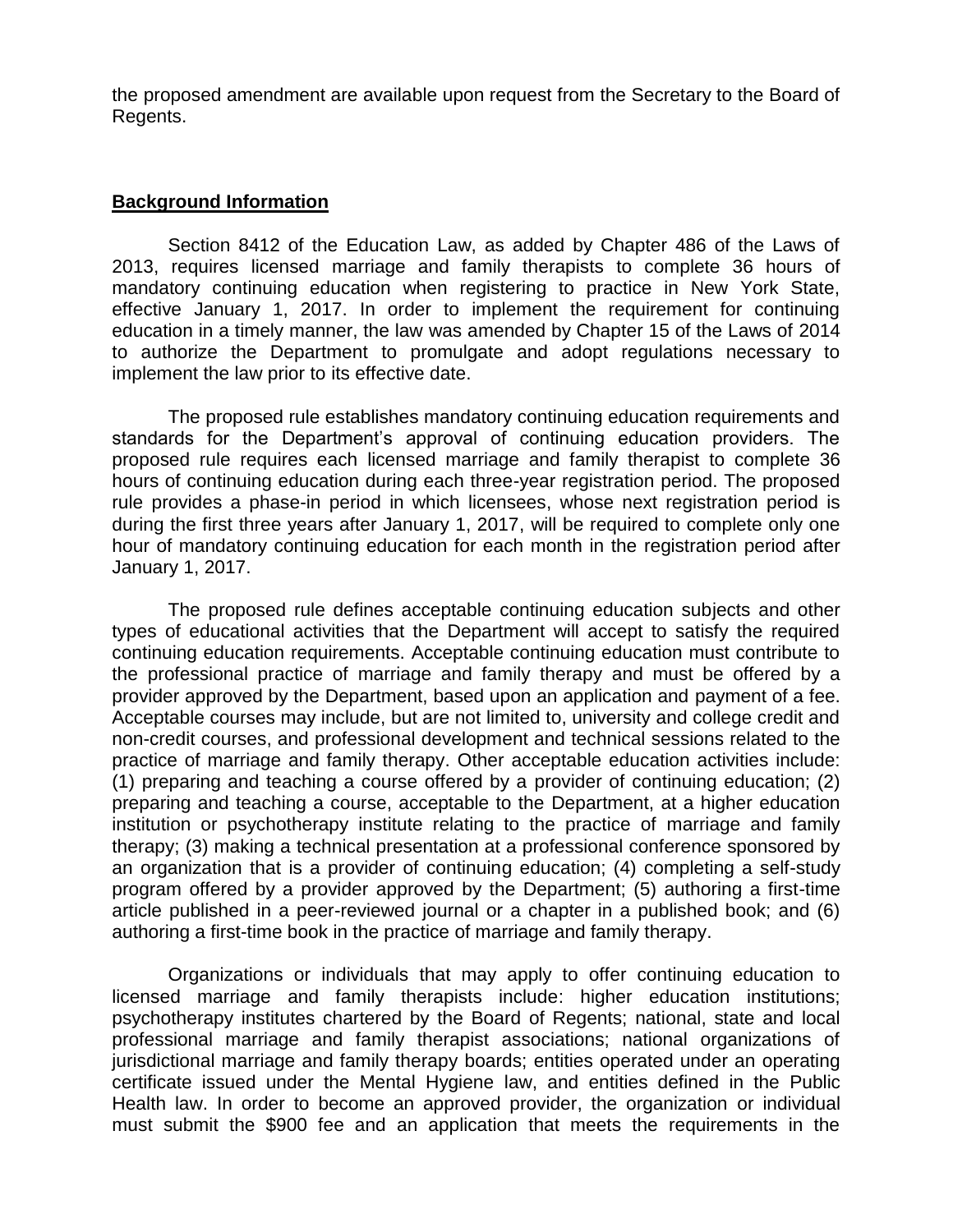the proposed amendment are available upon request from the Secretary to the Board of Regents.

### **Background Information**

Section 8412 of the Education Law, as added by Chapter 486 of the Laws of 2013, requires licensed marriage and family therapists to complete 36 hours of mandatory continuing education when registering to practice in New York State, effective January 1, 2017. In order to implement the requirement for continuing education in a timely manner, the law was amended by Chapter 15 of the Laws of 2014 to authorize the Department to promulgate and adopt regulations necessary to implement the law prior to its effective date.

The proposed rule establishes mandatory continuing education requirements and standards for the Department's approval of continuing education providers. The proposed rule requires each licensed marriage and family therapist to complete 36 hours of continuing education during each three-year registration period. The proposed rule provides a phase-in period in which licensees, whose next registration period is during the first three years after January 1, 2017, will be required to complete only one hour of mandatory continuing education for each month in the registration period after January 1, 2017.

The proposed rule defines acceptable continuing education subjects and other types of educational activities that the Department will accept to satisfy the required continuing education requirements. Acceptable continuing education must contribute to the professional practice of marriage and family therapy and must be offered by a provider approved by the Department, based upon an application and payment of a fee. Acceptable courses may include, but are not limited to, university and college credit and non-credit courses, and professional development and technical sessions related to the practice of marriage and family therapy. Other acceptable education activities include: (1) preparing and teaching a course offered by a provider of continuing education; (2) preparing and teaching a course, acceptable to the Department, at a higher education institution or psychotherapy institute relating to the practice of marriage and family therapy; (3) making a technical presentation at a professional conference sponsored by an organization that is a provider of continuing education; (4) completing a self-study program offered by a provider approved by the Department; (5) authoring a first-time article published in a peer-reviewed journal or a chapter in a published book; and (6) authoring a first-time book in the practice of marriage and family therapy.

Organizations or individuals that may apply to offer continuing education to licensed marriage and family therapists include: higher education institutions; psychotherapy institutes chartered by the Board of Regents; national, state and local professional marriage and family therapist associations; national organizations of jurisdictional marriage and family therapy boards; entities operated under an operating certificate issued under the Mental Hygiene law, and entities defined in the Public Health law. In order to become an approved provider, the organization or individual must submit the \$900 fee and an application that meets the requirements in the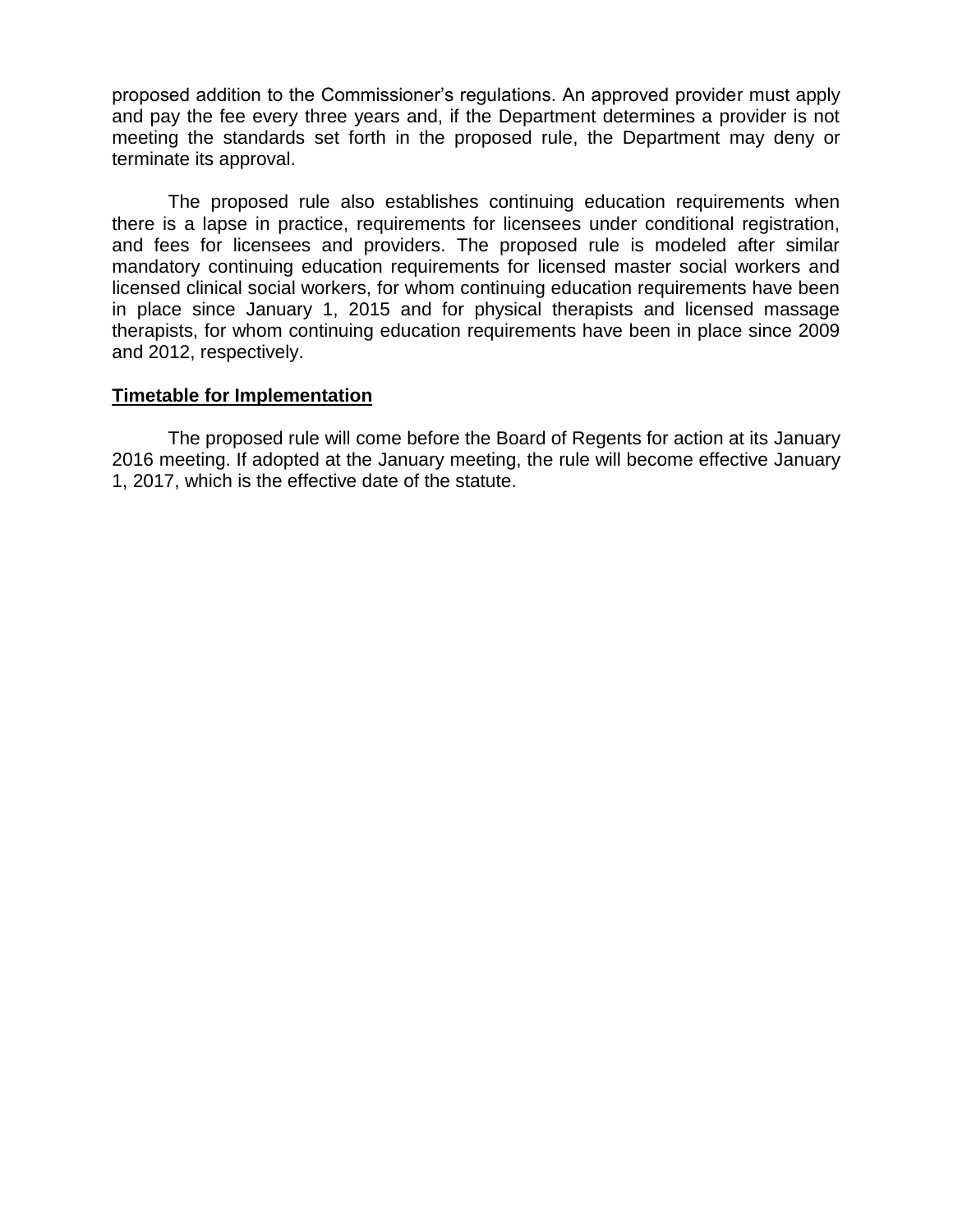proposed addition to the Commissioner's regulations. An approved provider must apply and pay the fee every three years and, if the Department determines a provider is not meeting the standards set forth in the proposed rule, the Department may deny or terminate its approval.

The proposed rule also establishes continuing education requirements when there is a lapse in practice, requirements for licensees under conditional registration, and fees for licensees and providers. The proposed rule is modeled after similar mandatory continuing education requirements for licensed master social workers and licensed clinical social workers, for whom continuing education requirements have been in place since January 1, 2015 and for physical therapists and licensed massage therapists, for whom continuing education requirements have been in place since 2009 and 2012, respectively.

### **Timetable for Implementation**

The proposed rule will come before the Board of Regents for action at its January 2016 meeting. If adopted at the January meeting, the rule will become effective January 1, 2017, which is the effective date of the statute.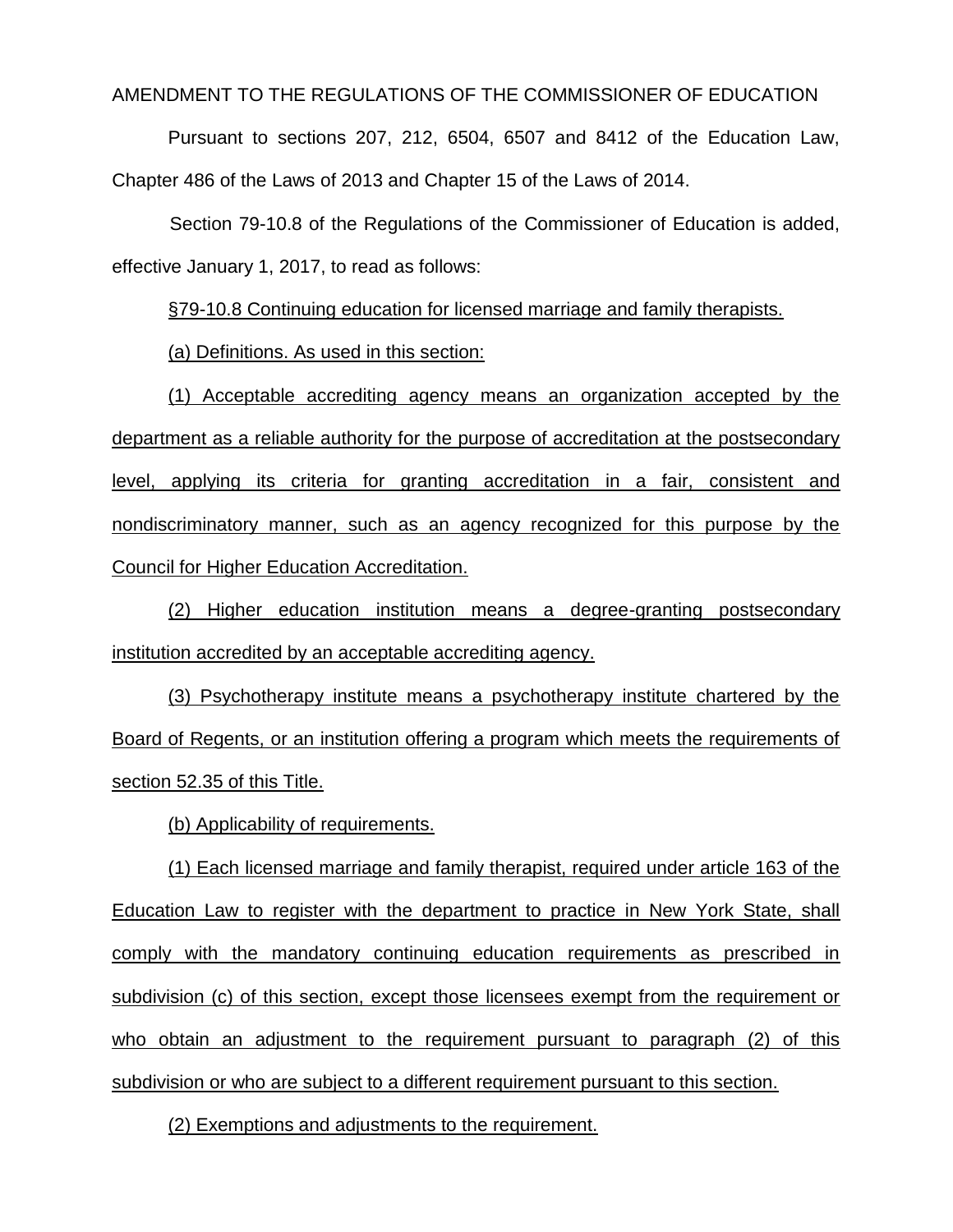AMENDMENT TO THE REGULATIONS OF THE COMMISSIONER OF EDUCATION

Pursuant to sections 207, 212, 6504, 6507 and 8412 of the Education Law, Chapter 486 of the Laws of 2013 and Chapter 15 of the Laws of 2014.

Section 79-10.8 of the Regulations of the Commissioner of Education is added, effective January 1, 2017, to read as follows:

§79-10.8 Continuing education for licensed marriage and family therapists.

(a) Definitions. As used in this section:

(1) Acceptable accrediting agency means an organization accepted by the department as a reliable authority for the purpose of accreditation at the postsecondary level, applying its criteria for granting accreditation in a fair, consistent and nondiscriminatory manner, such as an agency recognized for this purpose by the Council for Higher Education Accreditation.

(2) Higher education institution means a degree-granting postsecondary institution accredited by an acceptable accrediting agency.

(3) Psychotherapy institute means a psychotherapy institute chartered by the Board of Regents, or an institution offering a program which meets the requirements of section 52.35 of this Title.

(b) Applicability of requirements.

(1) Each licensed marriage and family therapist, required under article 163 of the Education Law to register with the department to practice in New York State, shall comply with the mandatory continuing education requirements as prescribed in subdivision (c) of this section, except those licensees exempt from the requirement or who obtain an adjustment to the requirement pursuant to paragraph (2) of this subdivision or who are subject to a different requirement pursuant to this section.

(2) Exemptions and adjustments to the requirement.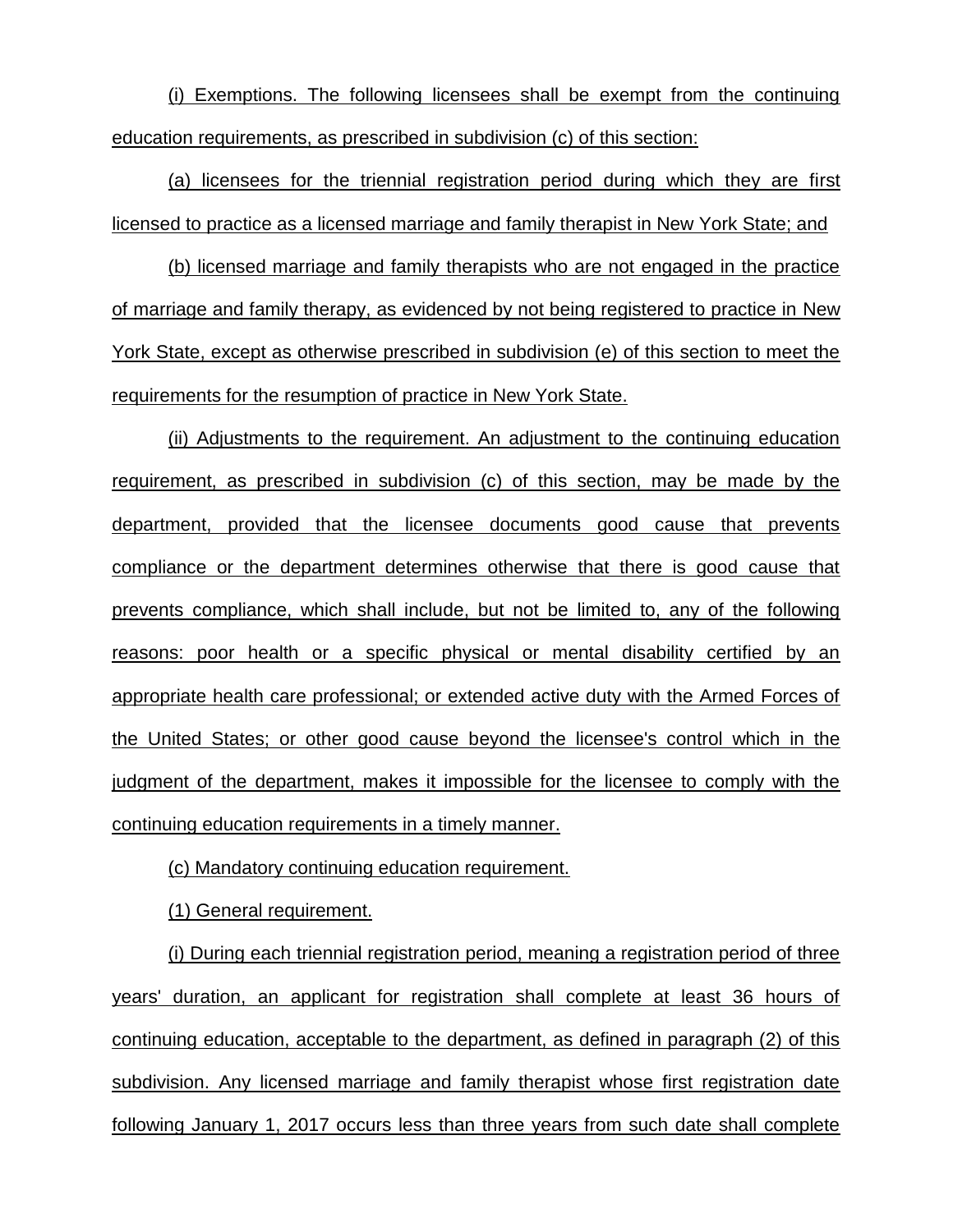(i) Exemptions. The following licensees shall be exempt from the continuing education requirements, as prescribed in subdivision (c) of this section:

(a) licensees for the triennial registration period during which they are first licensed to practice as a licensed marriage and family therapist in New York State; and

(b) licensed marriage and family therapists who are not engaged in the practice of marriage and family therapy, as evidenced by not being registered to practice in New York State, except as otherwise prescribed in subdivision (e) of this section to meet the requirements for the resumption of practice in New York State.

(ii) Adjustments to the requirement. An adjustment to the continuing education requirement, as prescribed in subdivision (c) of this section, may be made by the department, provided that the licensee documents good cause that prevents compliance or the department determines otherwise that there is good cause that prevents compliance, which shall include, but not be limited to, any of the following reasons: poor health or a specific physical or mental disability certified by an appropriate health care professional; or extended active duty with the Armed Forces of the United States; or other good cause beyond the licensee's control which in the judgment of the department, makes it impossible for the licensee to comply with the continuing education requirements in a timely manner.

(c) Mandatory continuing education requirement.

(1) General requirement.

(i) During each triennial registration period, meaning a registration period of three years' duration, an applicant for registration shall complete at least 36 hours of continuing education, acceptable to the department, as defined in paragraph (2) of this subdivision. Any licensed marriage and family therapist whose first registration date following January 1, 2017 occurs less than three years from such date shall complete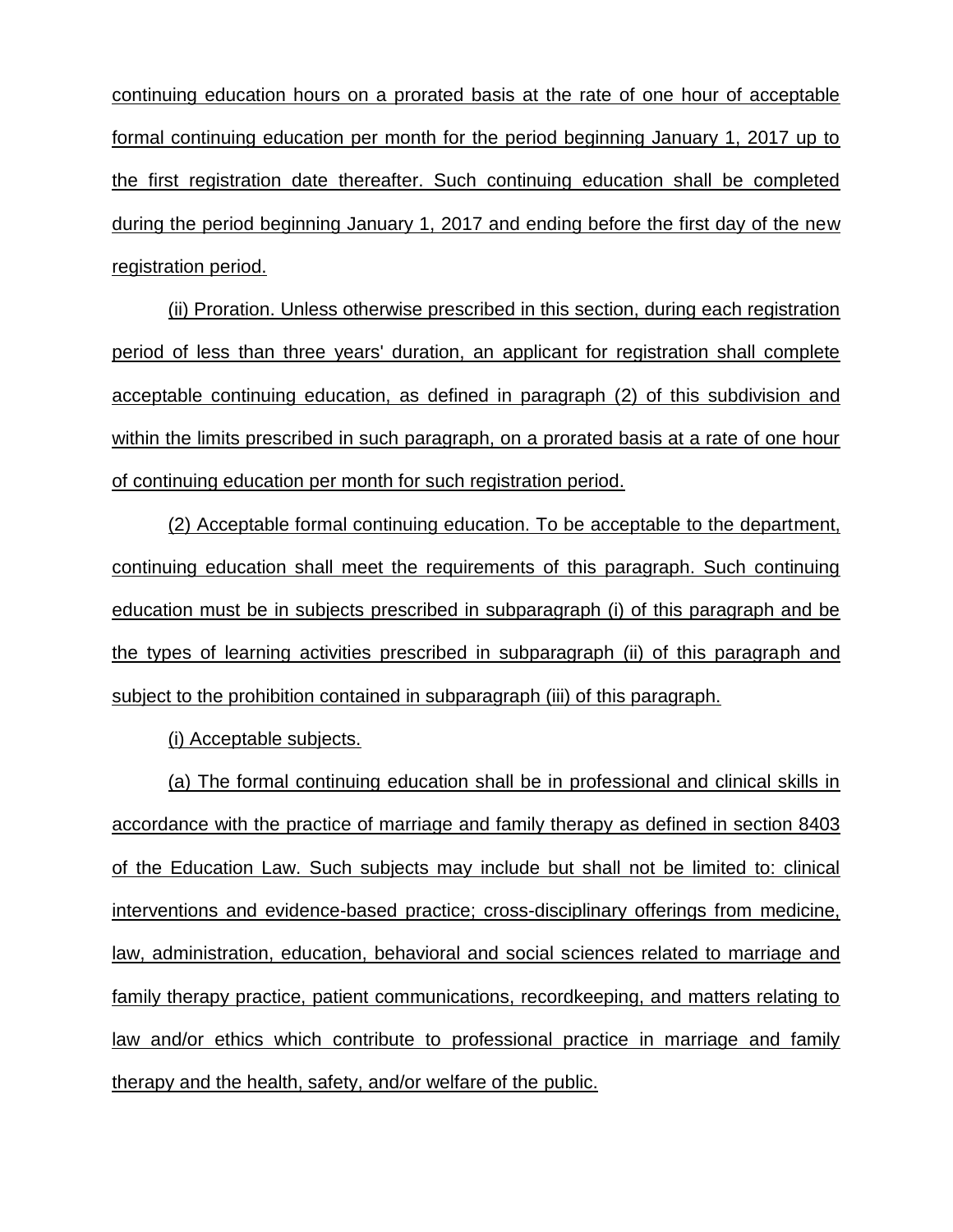continuing education hours on a prorated basis at the rate of one hour of acceptable formal continuing education per month for the period beginning January 1, 2017 up to the first registration date thereafter. Such continuing education shall be completed during the period beginning January 1, 2017 and ending before the first day of the new registration period.

(ii) Proration. Unless otherwise prescribed in this section, during each registration period of less than three years' duration, an applicant for registration shall complete acceptable continuing education, as defined in paragraph (2) of this subdivision and within the limits prescribed in such paragraph, on a prorated basis at a rate of one hour of continuing education per month for such registration period.

(2) Acceptable formal continuing education. To be acceptable to the department, continuing education shall meet the requirements of this paragraph. Such continuing education must be in subjects prescribed in subparagraph (i) of this paragraph and be the types of learning activities prescribed in subparagraph (ii) of this paragraph and subject to the prohibition contained in subparagraph (iii) of this paragraph.

(i) Acceptable subjects.

(a) The formal continuing education shall be in professional and clinical skills in accordance with the practice of marriage and family therapy as defined in section 8403 of the Education Law. Such subjects may include but shall not be limited to: clinical interventions and evidence-based practice; cross-disciplinary offerings from medicine, law, administration, education, behavioral and social sciences related to marriage and family therapy practice, patient communications, recordkeeping, and matters relating to law and/or ethics which contribute to professional practice in marriage and family therapy and the health, safety, and/or welfare of the public.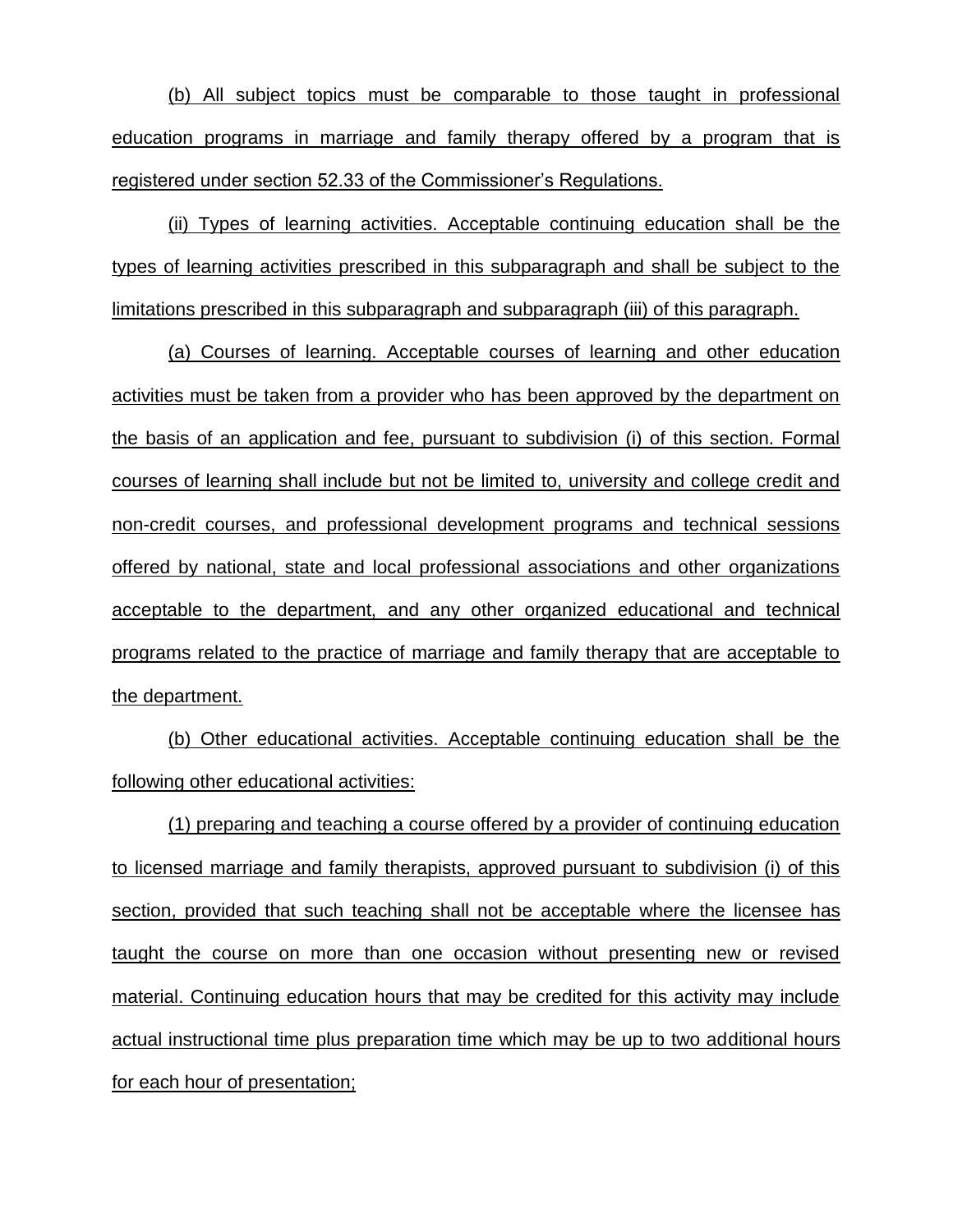(b) All subject topics must be comparable to those taught in professional education programs in marriage and family therapy offered by a program that is registered under section 52.33 of the Commissioner's Regulations.

(ii) Types of learning activities. Acceptable continuing education shall be the types of learning activities prescribed in this subparagraph and shall be subject to the limitations prescribed in this subparagraph and subparagraph (iii) of this paragraph.

(a) Courses of learning. Acceptable courses of learning and other education activities must be taken from a provider who has been approved by the department on the basis of an application and fee, pursuant to subdivision (i) of this section. Formal courses of learning shall include but not be limited to, university and college credit and non-credit courses, and professional development programs and technical sessions offered by national, state and local professional associations and other organizations acceptable to the department, and any other organized educational and technical programs related to the practice of marriage and family therapy that are acceptable to the department.

(b) Other educational activities. Acceptable continuing education shall be the following other educational activities:

(1) preparing and teaching a course offered by a provider of continuing education to licensed marriage and family therapists, approved pursuant to subdivision (i) of this section, provided that such teaching shall not be acceptable where the licensee has taught the course on more than one occasion without presenting new or revised material. Continuing education hours that may be credited for this activity may include actual instructional time plus preparation time which may be up to two additional hours for each hour of presentation;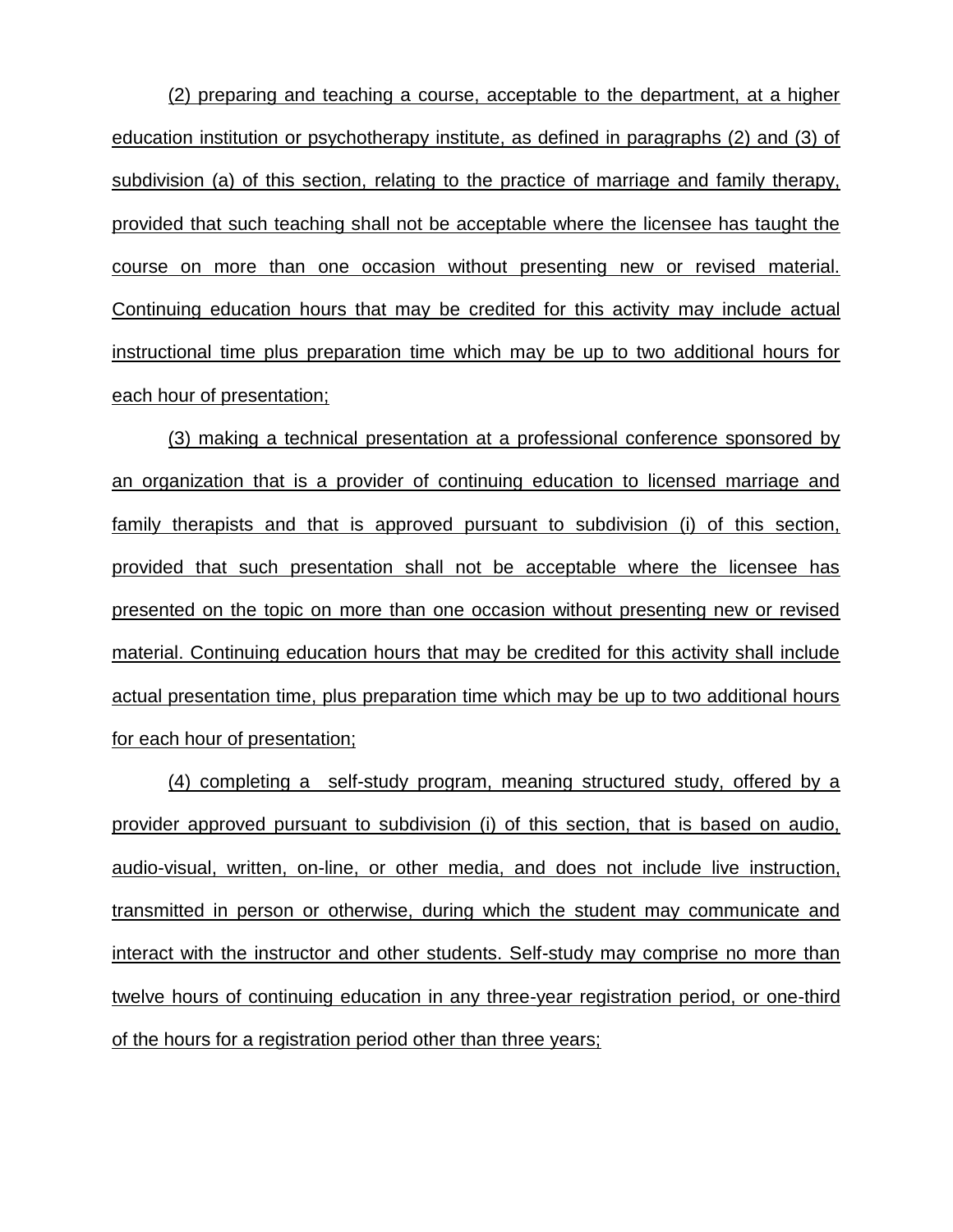(2) preparing and teaching a course, acceptable to the department, at a higher education institution or psychotherapy institute, as defined in paragraphs (2) and (3) of subdivision (a) of this section, relating to the practice of marriage and family therapy, provided that such teaching shall not be acceptable where the licensee has taught the course on more than one occasion without presenting new or revised material. Continuing education hours that may be credited for this activity may include actual instructional time plus preparation time which may be up to two additional hours for each hour of presentation;

(3) making a technical presentation at a professional conference sponsored by an organization that is a provider of continuing education to licensed marriage and family therapists and that is approved pursuant to subdivision (i) of this section, provided that such presentation shall not be acceptable where the licensee has presented on the topic on more than one occasion without presenting new or revised material. Continuing education hours that may be credited for this activity shall include actual presentation time, plus preparation time which may be up to two additional hours for each hour of presentation;

(4) completing a self-study program, meaning structured study, offered by a provider approved pursuant to subdivision (i) of this section, that is based on audio, audio-visual, written, on-line, or other media, and does not include live instruction, transmitted in person or otherwise, during which the student may communicate and interact with the instructor and other students. Self-study may comprise no more than twelve hours of continuing education in any three-year registration period, or one-third of the hours for a registration period other than three years;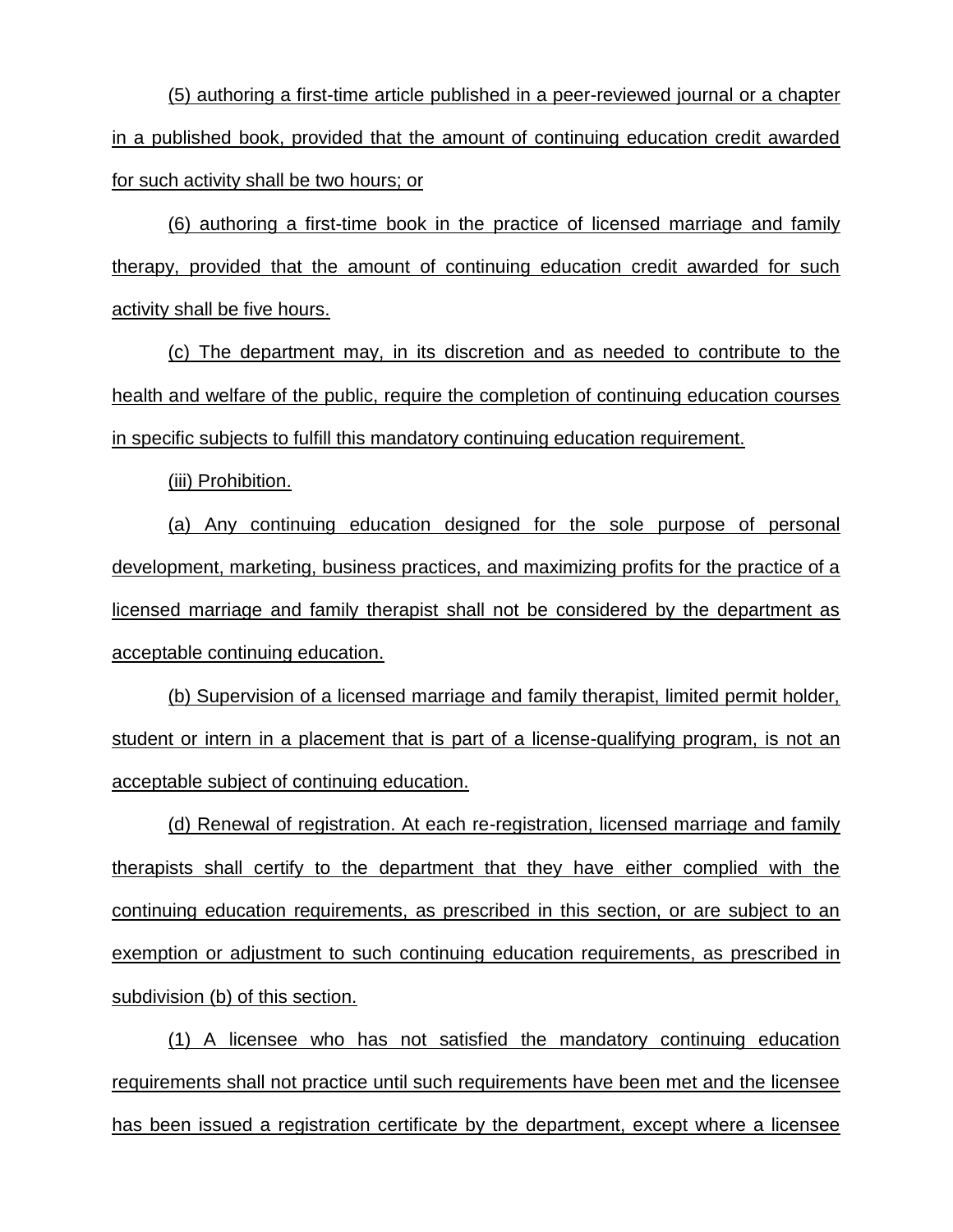(5) authoring a first-time article published in a peer-reviewed journal or a chapter in a published book, provided that the amount of continuing education credit awarded for such activity shall be two hours; or

(6) authoring a first-time book in the practice of licensed marriage and family therapy, provided that the amount of continuing education credit awarded for such activity shall be five hours.

(c) The department may, in its discretion and as needed to contribute to the health and welfare of the public, require the completion of continuing education courses in specific subjects to fulfill this mandatory continuing education requirement.

(iii) Prohibition.

(a) Any continuing education designed for the sole purpose of personal development, marketing, business practices, and maximizing profits for the practice of a licensed marriage and family therapist shall not be considered by the department as acceptable continuing education.

(b) Supervision of a licensed marriage and family therapist, limited permit holder, student or intern in a placement that is part of a license-qualifying program, is not an acceptable subject of continuing education.

(d) Renewal of registration. At each re-registration, licensed marriage and family therapists shall certify to the department that they have either complied with the continuing education requirements, as prescribed in this section, or are subject to an exemption or adjustment to such continuing education requirements, as prescribed in subdivision (b) of this section.

(1) A licensee who has not satisfied the mandatory continuing education requirements shall not practice until such requirements have been met and the licensee has been issued a registration certificate by the department, except where a licensee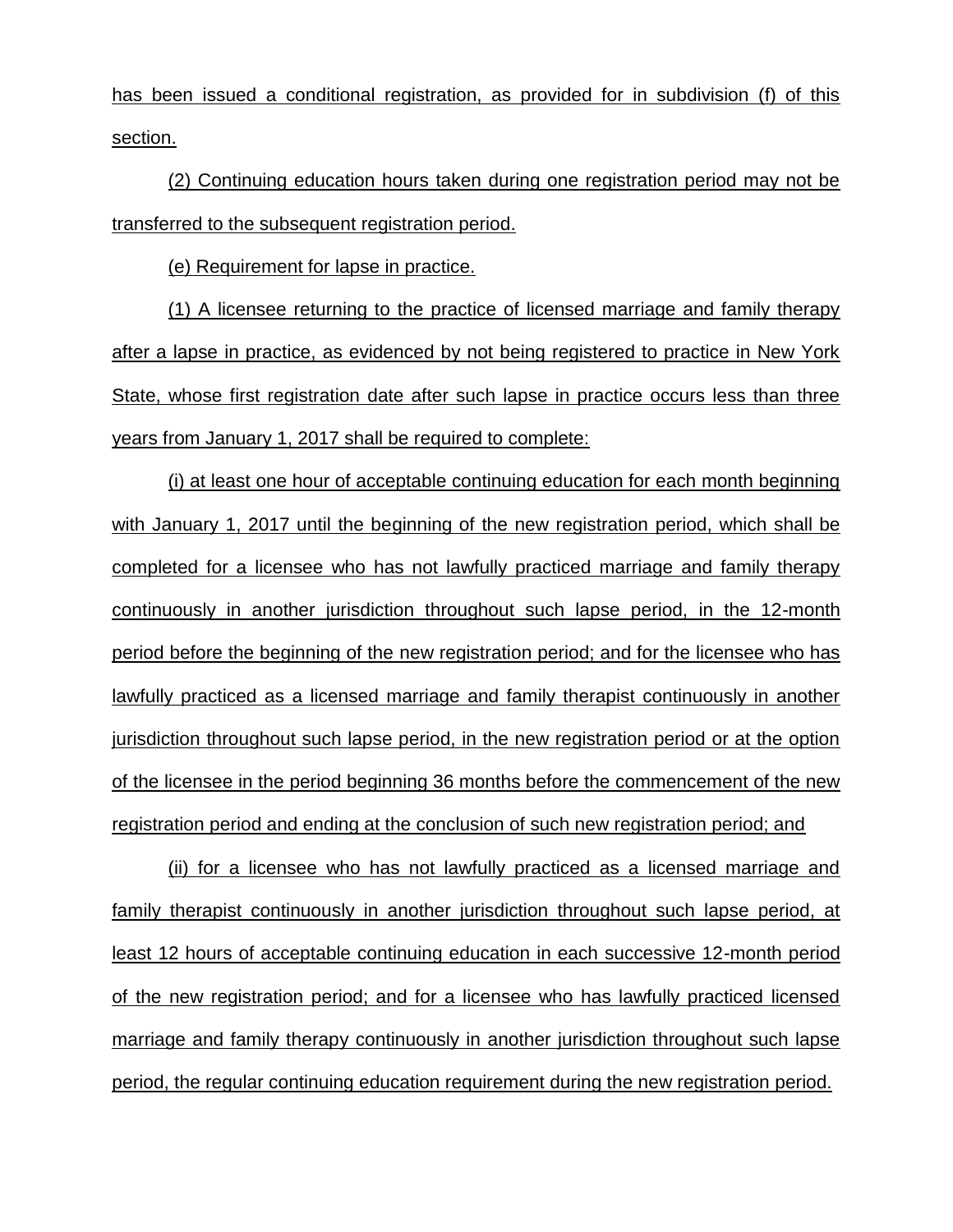has been issued a conditional registration, as provided for in subdivision (f) of this section.

(2) Continuing education hours taken during one registration period may not be transferred to the subsequent registration period.

(e) Requirement for lapse in practice.

(1) A licensee returning to the practice of licensed marriage and family therapy after a lapse in practice, as evidenced by not being registered to practice in New York State, whose first registration date after such lapse in practice occurs less than three years from January 1, 2017 shall be required to complete:

(i) at least one hour of acceptable continuing education for each month beginning with January 1, 2017 until the beginning of the new registration period, which shall be completed for a licensee who has not lawfully practiced marriage and family therapy continuously in another jurisdiction throughout such lapse period, in the 12-month period before the beginning of the new registration period; and for the licensee who has lawfully practiced as a licensed marriage and family therapist continuously in another jurisdiction throughout such lapse period, in the new registration period or at the option of the licensee in the period beginning 36 months before the commencement of the new registration period and ending at the conclusion of such new registration period; and

(ii) for a licensee who has not lawfully practiced as a licensed marriage and family therapist continuously in another jurisdiction throughout such lapse period, at least 12 hours of acceptable continuing education in each successive 12-month period of the new registration period; and for a licensee who has lawfully practiced licensed marriage and family therapy continuously in another jurisdiction throughout such lapse period, the regular continuing education requirement during the new registration period.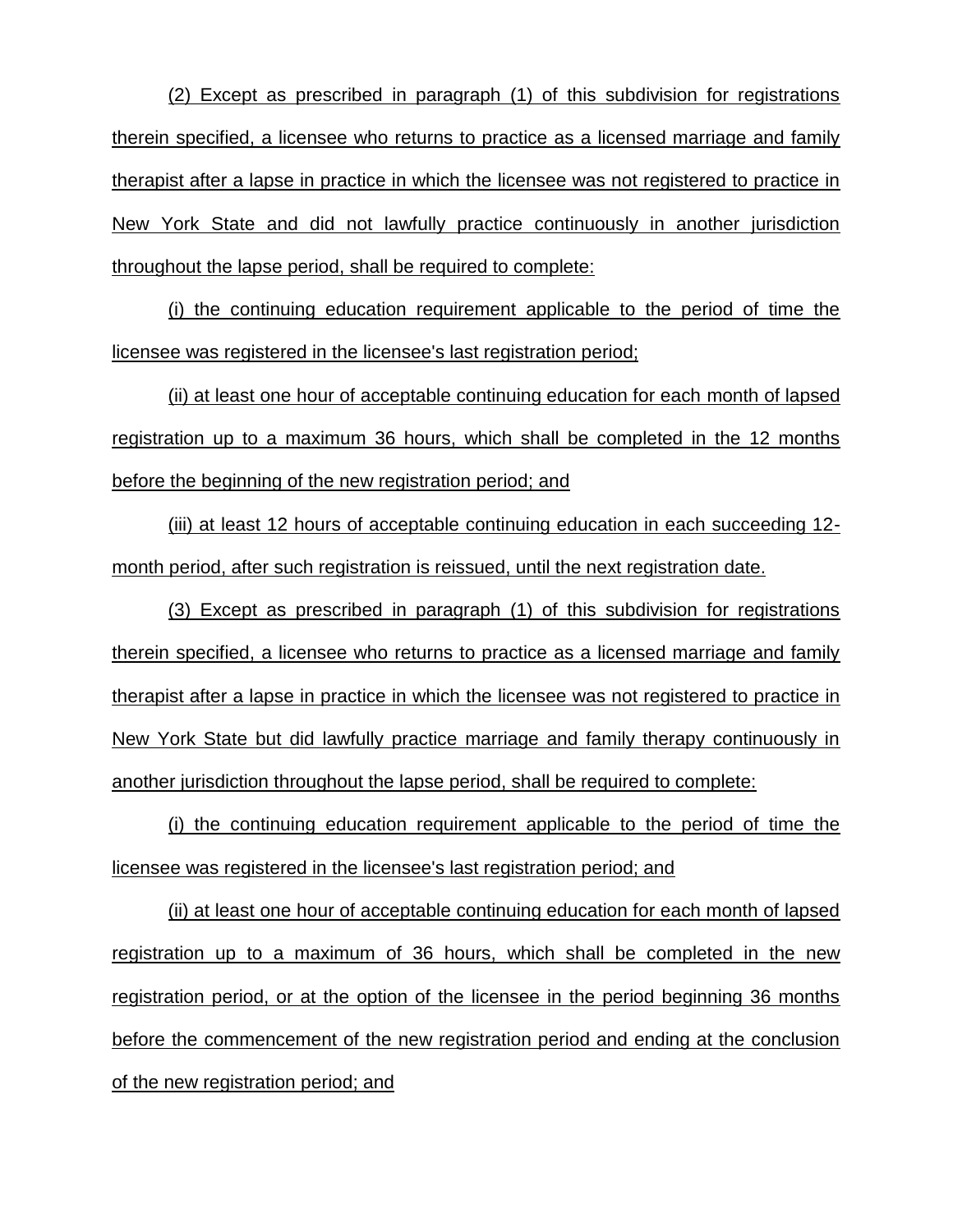(2) Except as prescribed in paragraph (1) of this subdivision for registrations therein specified, a licensee who returns to practice as a licensed marriage and family therapist after a lapse in practice in which the licensee was not registered to practice in New York State and did not lawfully practice continuously in another jurisdiction throughout the lapse period, shall be required to complete:

(i) the continuing education requirement applicable to the period of time the licensee was registered in the licensee's last registration period;

(ii) at least one hour of acceptable continuing education for each month of lapsed registration up to a maximum 36 hours, which shall be completed in the 12 months before the beginning of the new registration period; and

(iii) at least 12 hours of acceptable continuing education in each succeeding 12 month period, after such registration is reissued, until the next registration date.

(3) Except as prescribed in paragraph (1) of this subdivision for registrations therein specified, a licensee who returns to practice as a licensed marriage and family therapist after a lapse in practice in which the licensee was not registered to practice in New York State but did lawfully practice marriage and family therapy continuously in another jurisdiction throughout the lapse period, shall be required to complete:

(i) the continuing education requirement applicable to the period of time the licensee was registered in the licensee's last registration period; and

(ii) at least one hour of acceptable continuing education for each month of lapsed registration up to a maximum of 36 hours, which shall be completed in the new registration period, or at the option of the licensee in the period beginning 36 months before the commencement of the new registration period and ending at the conclusion of the new registration period; and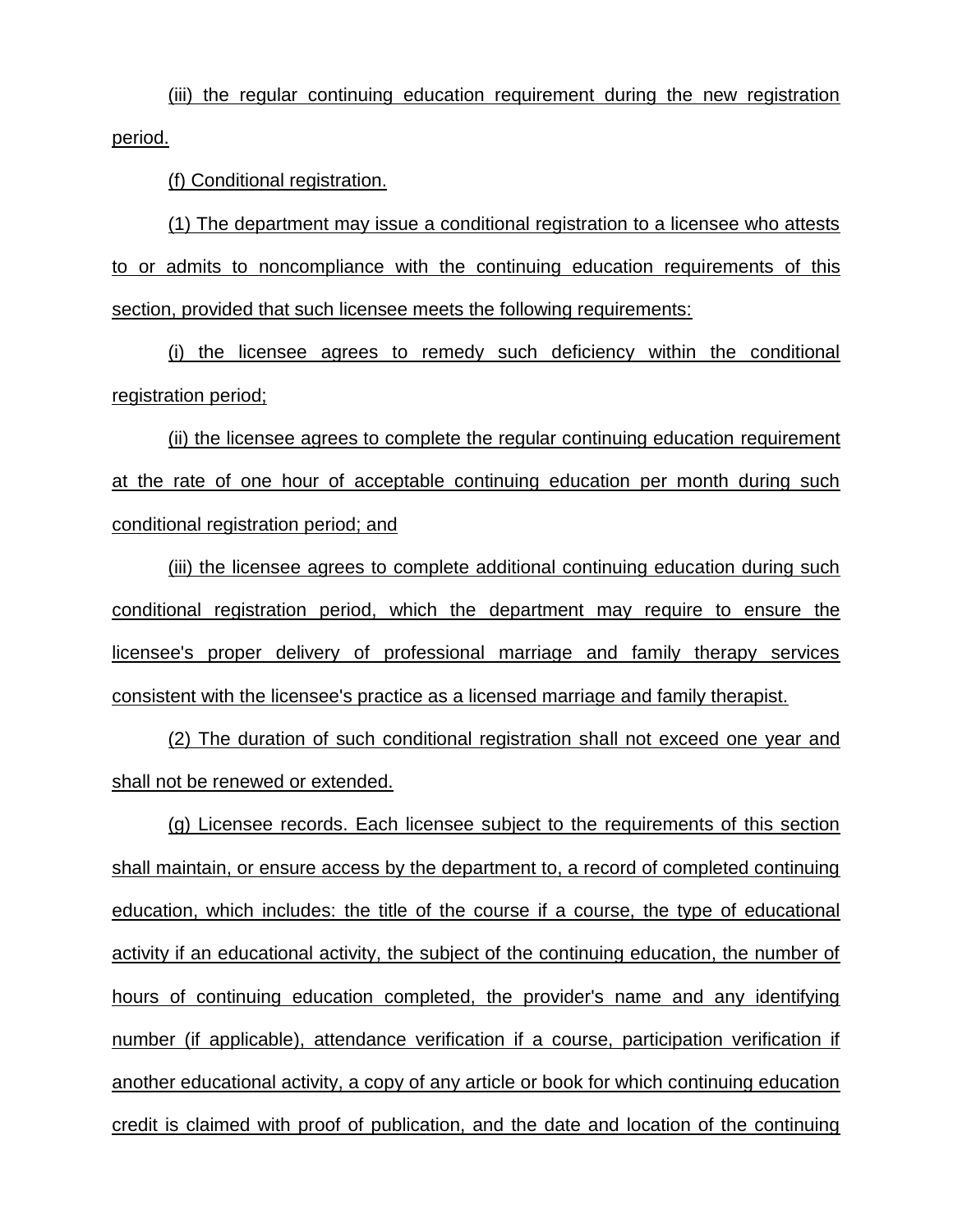(iii) the regular continuing education requirement during the new registration period.

(f) Conditional registration.

(1) The department may issue a conditional registration to a licensee who attests to or admits to noncompliance with the continuing education requirements of this section, provided that such licensee meets the following requirements:

(i) the licensee agrees to remedy such deficiency within the conditional registration period;

(ii) the licensee agrees to complete the regular continuing education requirement at the rate of one hour of acceptable continuing education per month during such conditional registration period; and

(iii) the licensee agrees to complete additional continuing education during such conditional registration period, which the department may require to ensure the licensee's proper delivery of professional marriage and family therapy services consistent with the licensee's practice as a licensed marriage and family therapist.

(2) The duration of such conditional registration shall not exceed one year and shall not be renewed or extended.

(g) Licensee records. Each licensee subject to the requirements of this section shall maintain, or ensure access by the department to, a record of completed continuing education, which includes: the title of the course if a course, the type of educational activity if an educational activity, the subject of the continuing education, the number of hours of continuing education completed, the provider's name and any identifying number (if applicable), attendance verification if a course, participation verification if another educational activity, a copy of any article or book for which continuing education credit is claimed with proof of publication, and the date and location of the continuing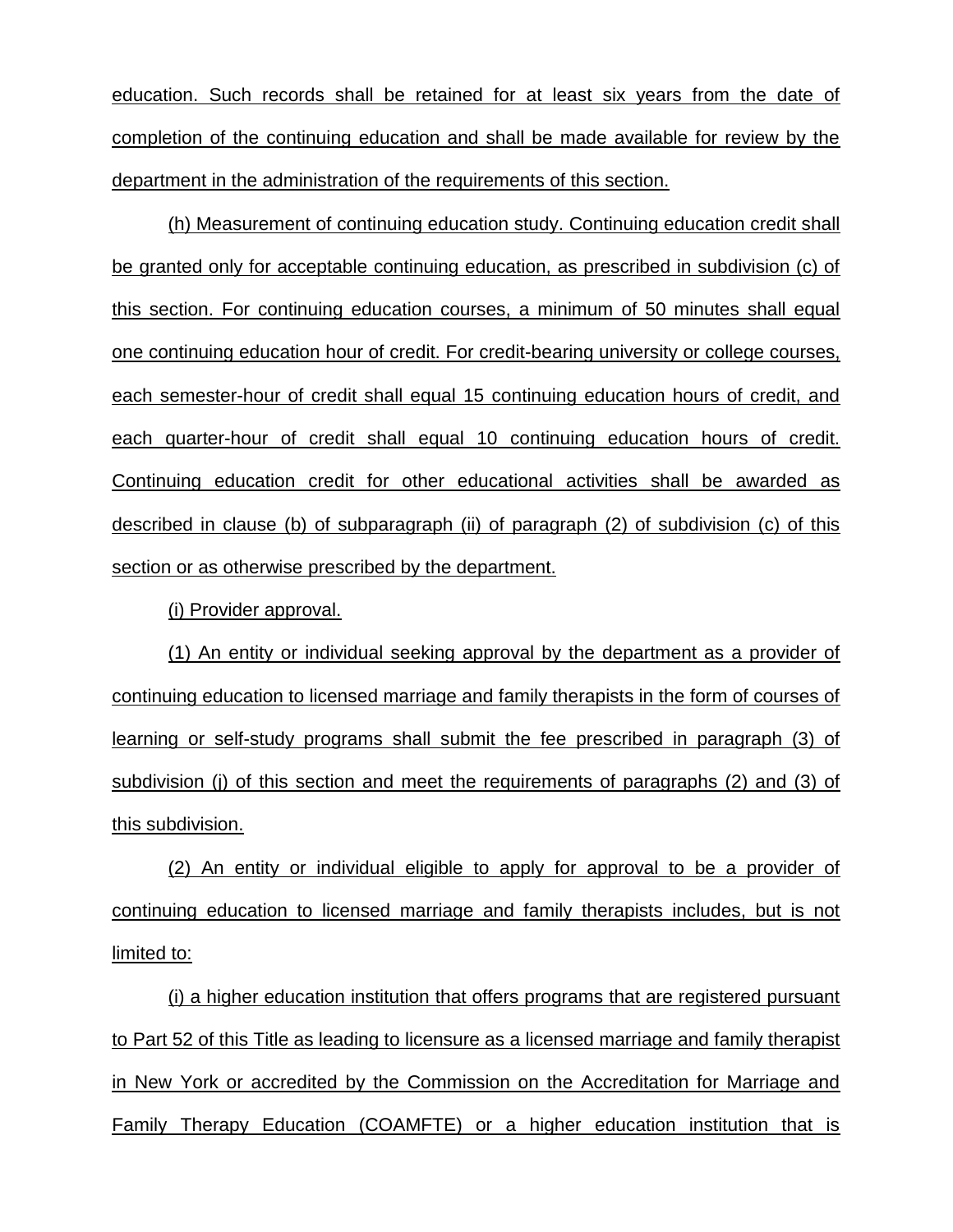education. Such records shall be retained for at least six years from the date of completion of the continuing education and shall be made available for review by the department in the administration of the requirements of this section.

(h) Measurement of continuing education study. Continuing education credit shall be granted only for acceptable continuing education, as prescribed in subdivision (c) of this section. For continuing education courses, a minimum of 50 minutes shall equal one continuing education hour of credit. For credit-bearing university or college courses, each semester-hour of credit shall equal 15 continuing education hours of credit, and each quarter-hour of credit shall equal 10 continuing education hours of credit. Continuing education credit for other educational activities shall be awarded as described in clause (b) of subparagraph (ii) of paragraph (2) of subdivision (c) of this section or as otherwise prescribed by the department.

(i) Provider approval.

(1) An entity or individual seeking approval by the department as a provider of continuing education to licensed marriage and family therapists in the form of courses of learning or self-study programs shall submit the fee prescribed in paragraph (3) of subdivision (j) of this section and meet the requirements of paragraphs (2) and (3) of this subdivision.

(2) An entity or individual eligible to apply for approval to be a provider of continuing education to licensed marriage and family therapists includes, but is not limited to:

(i) a higher education institution that offers programs that are registered pursuant to Part 52 of this Title as leading to licensure as a licensed marriage and family therapist in New York or accredited by the Commission on the Accreditation for Marriage and Family Therapy Education (COAMFTE) or a higher education institution that is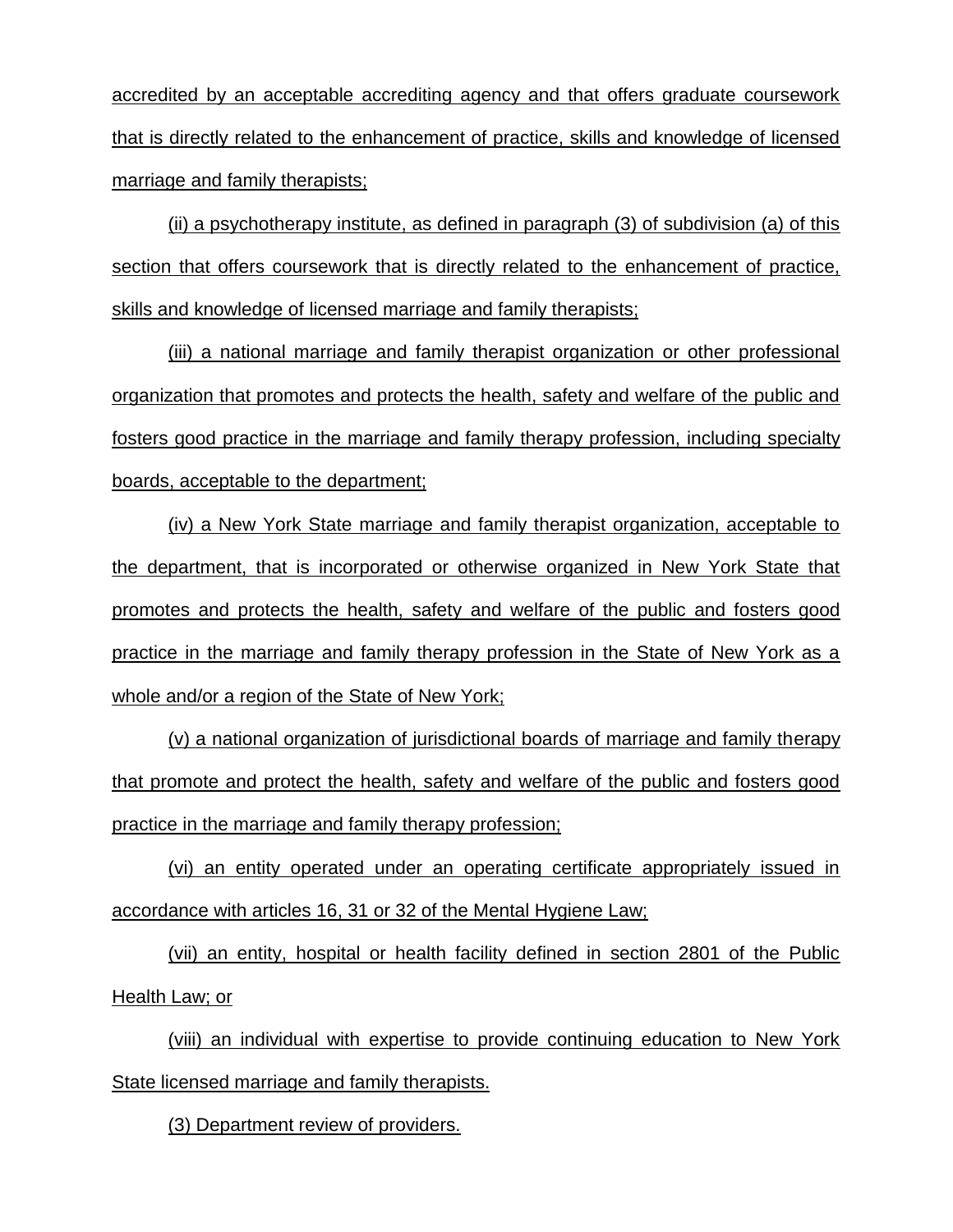accredited by an acceptable accrediting agency and that offers graduate coursework that is directly related to the enhancement of practice, skills and knowledge of licensed marriage and family therapists;

(ii) a psychotherapy institute, as defined in paragraph (3) of subdivision (a) of this section that offers coursework that is directly related to the enhancement of practice, skills and knowledge of licensed marriage and family therapists;

(iii) a national marriage and family therapist organization or other professional organization that promotes and protects the health, safety and welfare of the public and fosters good practice in the marriage and family therapy profession, including specialty boards, acceptable to the department;

(iv) a New York State marriage and family therapist organization, acceptable to the department, that is incorporated or otherwise organized in New York State that promotes and protects the health, safety and welfare of the public and fosters good practice in the marriage and family therapy profession in the State of New York as a whole and/or a region of the State of New York;

(v) a national organization of jurisdictional boards of marriage and family therapy that promote and protect the health, safety and welfare of the public and fosters good practice in the marriage and family therapy profession;

(vi) an entity operated under an operating certificate appropriately issued in accordance with articles 16, 31 or 32 of the Mental Hygiene Law;

(vii) an entity, hospital or health facility defined in section 2801 of the Public Health Law; or

(viii) an individual with expertise to provide continuing education to New York State licensed marriage and family therapists.

(3) Department review of providers.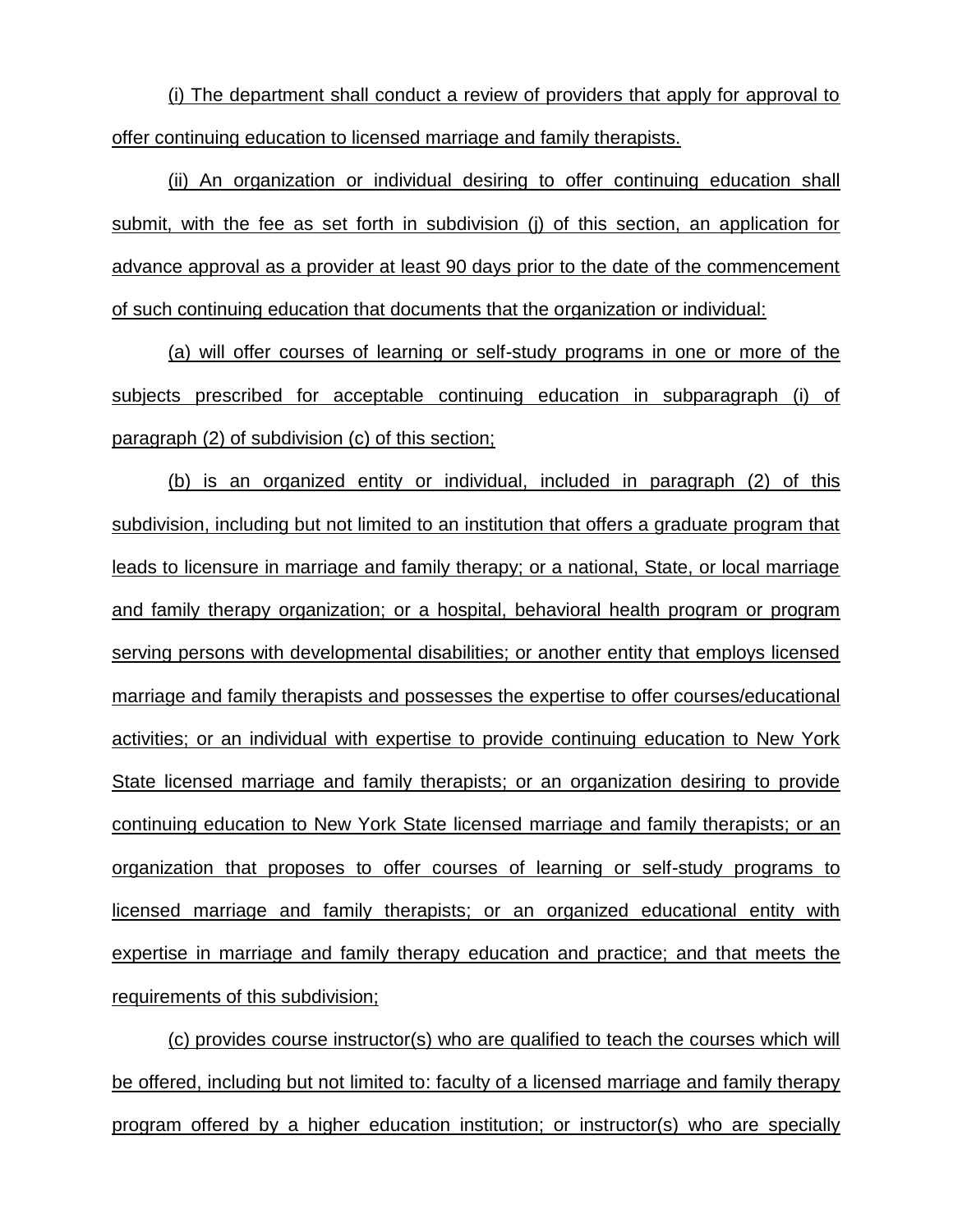(i) The department shall conduct a review of providers that apply for approval to offer continuing education to licensed marriage and family therapists.

(ii) An organization or individual desiring to offer continuing education shall submit, with the fee as set forth in subdivision (j) of this section, an application for advance approval as a provider at least 90 days prior to the date of the commencement of such continuing education that documents that the organization or individual:

(a) will offer courses of learning or self-study programs in one or more of the subjects prescribed for acceptable continuing education in subparagraph (i) of paragraph (2) of subdivision (c) of this section;

(b) is an organized entity or individual, included in paragraph (2) of this subdivision, including but not limited to an institution that offers a graduate program that leads to licensure in marriage and family therapy; or a national, State, or local marriage and family therapy organization; or a hospital, behavioral health program or program serving persons with developmental disabilities; or another entity that employs licensed marriage and family therapists and possesses the expertise to offer courses/educational activities; or an individual with expertise to provide continuing education to New York State licensed marriage and family therapists; or an organization desiring to provide continuing education to New York State licensed marriage and family therapists; or an organization that proposes to offer courses of learning or self-study programs to licensed marriage and family therapists; or an organized educational entity with expertise in marriage and family therapy education and practice; and that meets the requirements of this subdivision;

(c) provides course instructor(s) who are qualified to teach the courses which will be offered, including but not limited to: faculty of a licensed marriage and family therapy program offered by a higher education institution; or instructor(s) who are specially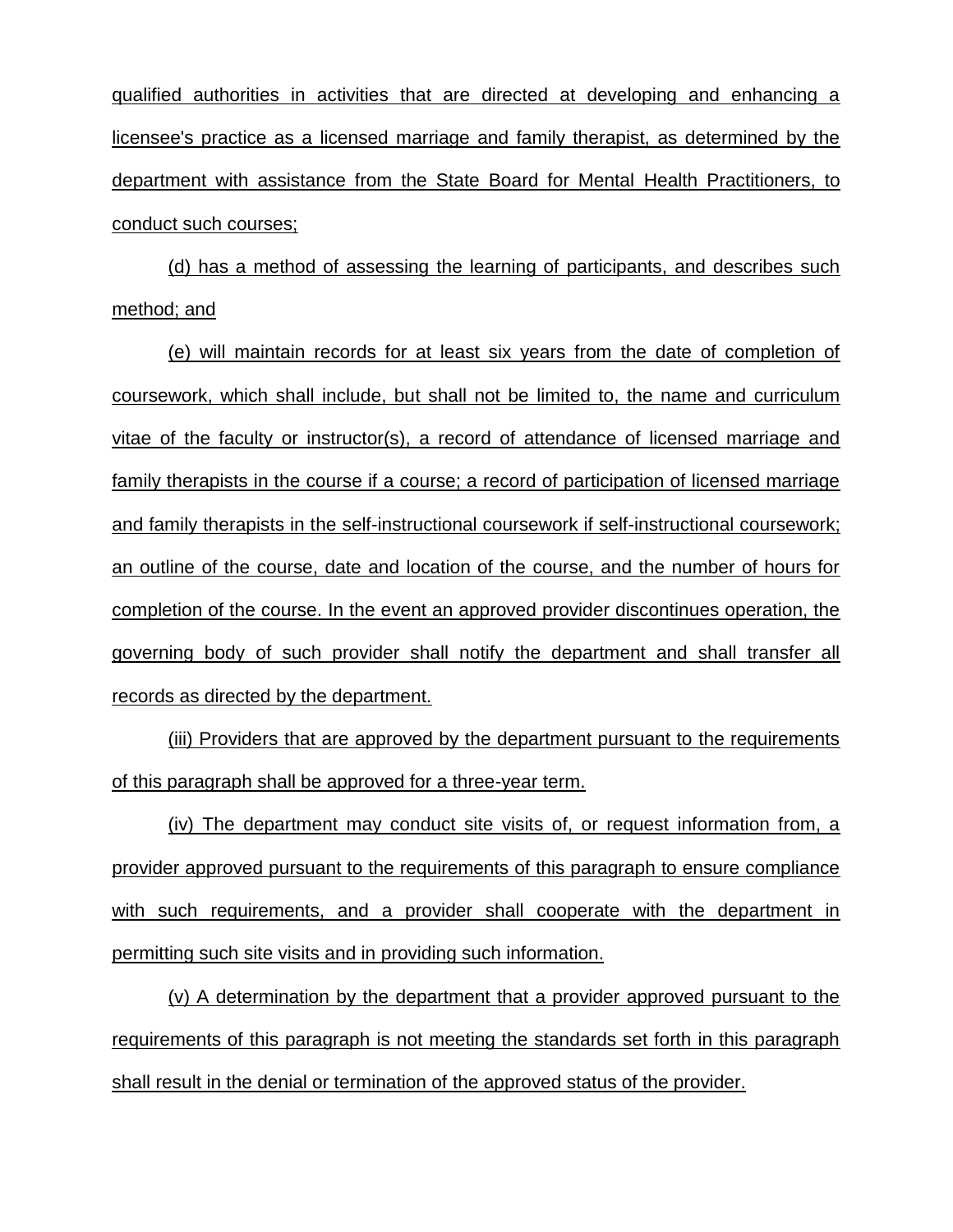qualified authorities in activities that are directed at developing and enhancing a licensee's practice as a licensed marriage and family therapist, as determined by the department with assistance from the State Board for Mental Health Practitioners, to conduct such courses;

(d) has a method of assessing the learning of participants, and describes such method; and

(e) will maintain records for at least six years from the date of completion of coursework, which shall include, but shall not be limited to, the name and curriculum vitae of the faculty or instructor(s), a record of attendance of licensed marriage and family therapists in the course if a course; a record of participation of licensed marriage and family therapists in the self-instructional coursework if self-instructional coursework; an outline of the course, date and location of the course, and the number of hours for completion of the course. In the event an approved provider discontinues operation, the governing body of such provider shall notify the department and shall transfer all records as directed by the department.

(iii) Providers that are approved by the department pursuant to the requirements of this paragraph shall be approved for a three-year term.

(iv) The department may conduct site visits of, or request information from, a provider approved pursuant to the requirements of this paragraph to ensure compliance with such requirements, and a provider shall cooperate with the department in permitting such site visits and in providing such information.

(v) A determination by the department that a provider approved pursuant to the requirements of this paragraph is not meeting the standards set forth in this paragraph shall result in the denial or termination of the approved status of the provider.